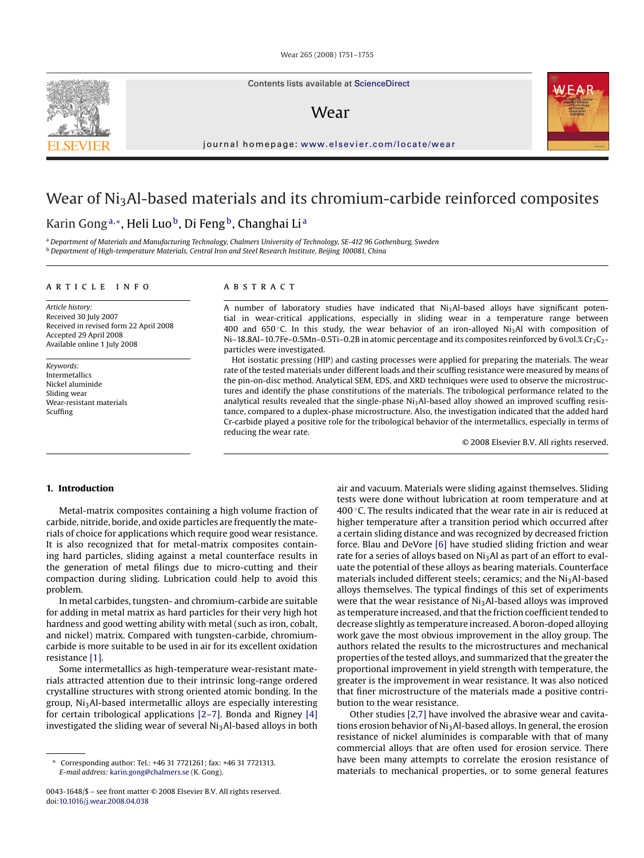Wear 265 (2008) 1751–1755

Contents lists available at [ScienceDirect](http://www.sciencedirect.com/science/journal/00431648)

# Wear

journal homepage: [www.elsevier.com/locate/wear](http://www.elsevier.com/locate/wear)

# Wear of Ni<sub>3</sub>Al-based materials and its chromium-carbide reinforced composites

# Karin Gong<sup>a,</sup>\*, Heli Luo<sup>b</sup>, Di Feng<sup>b</sup>, Changhai Li<sup>a</sup>

<sup>a</sup> *Department of Materials and Manufacturing Technology, Chalmers University of Technology, SE-412 96 Gothenburg, Sweden* <sup>b</sup> *Department of High-temperature Materials, Central Iron and Steel Research Institute, Beijing 100081, China*

#### article info

*Article history:* Received 30 July 2007 Received in revised form 22 April 2008 Accepted 29 April 2008 Available online 1 July 2008

*Keywords:* Intermetallics Nickel aluminide Sliding wear Wear-resistant materials Scuffing

## A B S T R A C T

A number of laboratory studies have indicated that  $Ni<sub>3</sub>Al-based$  alloys have significant potential in wear-critical applications, especially in sliding wear in a temperature range between 400 and 650 °C. In this study, the wear behavior of an iron-alloyed Ni<sub>3</sub>Al with composition of Ni–18.8Al–10.7Fe–0.5Mn–0.5Ti–0.2B in atomic percentage and its composites reinforced by 6 vol.%  $Cr_3C_2$ particles were investigated.

Hot isostatic pressing (HIP) and casting processes were applied for preparing the materials. The wear rate of the tested materials under different loads and their scuffing resistance were measured by means of the pin-on-disc method. Analytical SEM, EDS, and XRD techniques were used to observe the microstructures and identify the phase constitutions of the materials. The tribological performance related to the analytical results revealed that the single-phase Ni<sub>3</sub>Al-based alloy showed an improved scuffing resistance, compared to a duplex-phase microstructure. Also, the investigation indicated that the added hard Cr-carbide played a positive role for the tribological behavior of the intermetallics, especially in terms of reducing the wear rate.

© 2008 Elsevier B.V. All rights reserved.

### **1. Introduction**

Metal-matrix composites containing a high volume fraction of carbide, nitride, boride, and oxide particles are frequently the materials of choice for applications which require good wear resistance. It is also recognized that for metal-matrix composites containing hard particles, sliding against a metal counterface results in the generation of metal filings due to micro-cutting and their compaction during sliding. Lubrication could help to avoid this problem.

In metal carbides, tungsten- and chromium-carbide are suitable for adding in metal matrix as hard particles for their very high hot hardness and good wetting ability with metal (such as iron, cobalt, and nickel) matrix. Compared with tungsten-carbide, chromiumcarbide is more suitable to be used in air for its excellent oxidation resistance [\[1\].](#page-4-0)

Some intermetallics as high-temperature wear-resistant materials attracted attention due to their intrinsic long-range ordered crystalline structures with strong oriented atomic bonding. In the group, Ni3Al-based intermetallic alloys are especially interesting for certain tribological applications [\[2–7\]. B](#page-4-0)onda and Rigney [\[4\]](#page-4-0) investigated the sliding wear of several  $Ni<sub>3</sub>Al-based$  alloys in both

air and vacuum. Materials were sliding against themselves. Sliding tests were done without lubrication at room temperature and at 400 $\degree$ C. The results indicated that the wear rate in air is reduced at higher temperature after a transition period which occurred after a certain sliding distance and was recognized by decreased friction force. Blau and DeVore [\[6\]](#page-4-0) have studied sliding friction and wear rate for a series of alloys based on  $Ni<sub>3</sub>Al$  as part of an effort to evaluate the potential of these alloys as bearing materials. Counterface materials included different steels; ceramics; and the  $Ni<sub>3</sub>Al-based$ alloys themselves. The typical findings of this set of experiments were that the wear resistance of Ni<sub>3</sub>Al-based alloys was improved as temperature increased, and that the friction coefficient tended to decrease slightly as temperature increased. A boron-doped alloying work gave the most obvious improvement in the alloy group. The authors related the results to the microstructures and mechanical properties of the tested alloys, and summarized that the greater the proportional improvement in yield strength with temperature, the greater is the improvement in wear resistance. It was also noticed that finer microstructure of the materials made a positive contribution to the wear resistance.

Other studies [\[2,7\]](#page-4-0) have involved the abrasive wear and cavitations erosion behavior of  $Ni<sub>3</sub>Al-based$  alloys. In general, the erosion resistance of nickel aluminides is comparable with that of many commercial alloys that are often used for erosion service. There have been many attempts to correlate the erosion resistance of materials to mechanical properties, or to some general features





<sup>∗</sup> Corresponding author: Tel.: +46 31 7721261; fax: +46 31 7721313. *E-mail address:* [karin.gong@chalmers.se](mailto:karin.gong@chalmers.se) (K. Gong).

<sup>0043-1648/\$ –</sup> see front matter © 2008 Elsevier B.V. All rights reserved. doi:[10.1016/j.wear.2008.04.038](dx.doi.org/10.1016/j.wear.2008.04.038)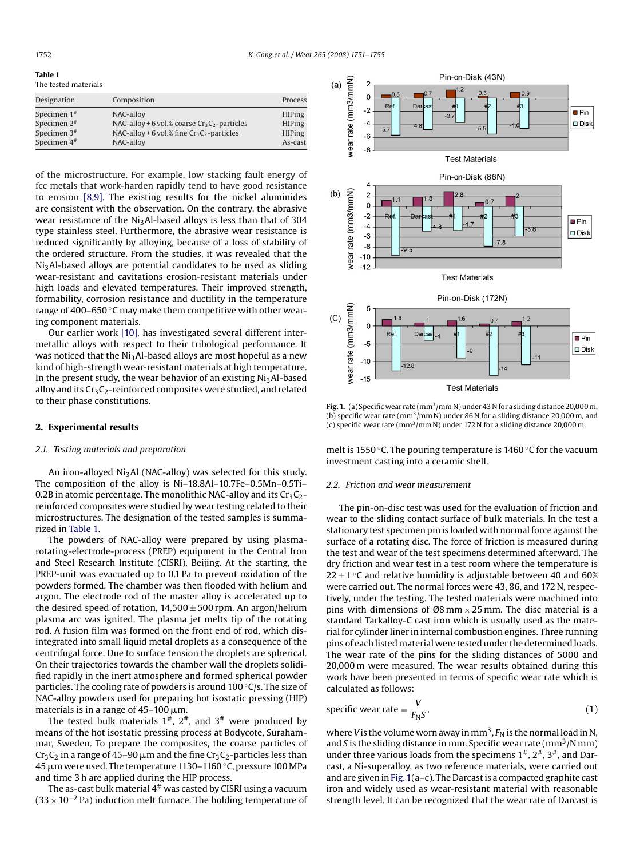**Table 1** The tested materials

| Designation                                                          | Composition                                                                                                                | Process                                                    |
|----------------------------------------------------------------------|----------------------------------------------------------------------------------------------------------------------------|------------------------------------------------------------|
| Specimen $1*$<br>Specimen $2*$<br>Specimen $3#$<br>Specimen $4^{\#}$ | NAC-alloy<br>NAC-alloy + 6 vol.% coarse $Cr_3C_2$ -particles<br>NAC-alloy + 6 vol.% fine $Cr_3C_2$ -particles<br>NAC-alloy | <b>HIPing</b><br><b>HIPing</b><br><b>HIPing</b><br>As-cast |

of the microstructure. For example, low stacking fault energy of fcc metals that work-harden rapidly tend to have good resistance to erosion [\[8,9\].](#page-4-0) The existing results for the nickel aluminides are consistent with the observation. On the contrary, the abrasive wear resistance of the  $Ni<sub>3</sub>Al-based$  alloys is less than that of 304 type stainless steel. Furthermore, the abrasive wear resistance is reduced significantly by alloying, because of a loss of stability of the ordered structure. From the studies, it was revealed that the Ni3Al-based alloys are potential candidates to be used as sliding wear-resistant and cavitations erosion-resistant materials under high loads and elevated temperatures. Their improved strength, formability, corrosion resistance and ductility in the temperature range of 400–650 ℃ may make them competitive with other wearing component materials.

Our earlier work [\[10\], h](#page-4-0)as investigated several different intermetallic alloys with respect to their tribological performance. It was noticed that the  $Ni<sub>3</sub>Al-based$  alloys are most hopeful as a new kind of high-strength wear-resistant materials at high temperature. In the present study, the wear behavior of an existing  $Ni<sub>3</sub>Al-based$ alloy and its  $Cr_3C_2$ -reinforced composites were studied, and related to their phase constitutions.

#### **2. Experimental results**

#### *2.1. Testing materials and preparation*

An iron-alloyed  $Ni<sub>3</sub>Al$  (NAC-alloy) was selected for this study. The composition of the alloy is Ni–18.8Al–10.7Fe–0.5Mn–0.5Ti– 0.2B in atomic percentage. The monolithic NAC-alloy and its  $Cr_3C_2$ reinforced composites were studied by wear testing related to their microstructures. The designation of the tested samples is summarized in Table 1.

The powders of NAC-alloy were prepared by using plasmarotating-electrode-process (PREP) equipment in the Central Iron and Steel Research Institute (CISRI), Beijing. At the starting, the PREP-unit was evacuated up to 0.1 Pa to prevent oxidation of the powders formed. The chamber was then flooded with helium and argon. The electrode rod of the master alloy is accelerated up to the desired speed of rotation,  $14,500 \pm 500$  rpm. An argon/helium plasma arc was ignited. The plasma jet melts tip of the rotating rod. A fusion film was formed on the front end of rod, which disintegrated into small liquid metal droplets as a consequence of the centrifugal force. Due to surface tension the droplets are spherical. On their trajectories towards the chamber wall the droplets solidified rapidly in the inert atmosphere and formed spherical powder particles. The cooling rate of powders is around 100 °C/s. The size of NAC-alloy powders used for preparing hot isostatic pressing (HIP) materials is in a range of 45–100  $\mu$ m.

The tested bulk materials  $1^{\#}$ ,  $2^{\#}$ , and  $3^{\#}$  were produced by means of the hot isostatic pressing process at Bodycote, Surahammar, Sweden. To prepare the composites, the coarse particles of Cr $_3$ C $_2$  in a range of 45–90  $\mu$ m and the fine Cr $_3$ C $_2$ -particles less than 45  $\rm \mu m$  were used. The temperature 1130–1160 °C, pressure 100 MPa and time 3 h are applied during the HIP process.

The as-cast bulk material  $4^{\#}$  was casted by CISRI using a vacuum  $(33 \times 10^{-2}$  Pa) induction melt furnace. The holding temperature of



Fig. 1. (a) Specific wear rate (mm<sup>3</sup>/mm N) under 43 N for a sliding distance 20,000 m, (b) specific wear rate (mm3/mm N) under 86 N for a sliding distance 20,000 m, and (c) specific wear rate (mm<sup>3</sup>/mm N) under 172 N for a sliding distance 20,000 m.

melt is 1550 °C. The pouring temperature is 1460 °C for the vacuum investment casting into a ceramic shell.

#### *2.2. Friction and wear measurement*

The pin-on-disc test was used for the evaluation of friction and wear to the sliding contact surface of bulk materials. In the test a stationary test specimen pin is loaded with normal force against the surface of a rotating disc. The force of friction is measured during the test and wear of the test specimens determined afterward. The dry friction and wear test in a test room where the temperature is  $22 \pm 1$  °C and relative humidity is adjustable between 40 and 60% were carried out. The normal forces were 43, 86, and 172 N, respectively, under the testing. The tested materials were machined into pins with dimensions of  $\varnothing 8$  mm  $\times$  25 mm. The disc material is a standard Tarkalloy-C cast iron which is usually used as the material for cylinder liner in internal combustion engines. Three running pins of each listed material were tested under the determined loads. The wear rate of the pins for the sliding distances of 5000 and 20,000 m were measured. The wear results obtained during this work have been presented in terms of specific wear rate which is calculated as follows:

specific wear rate = 
$$
\frac{V}{F_N S}
$$
, (1)

where *V* is the volume worn away in mm<sup>3</sup>,  $F_N$  is the normal load in N, and *S* is the sliding distance in mm. Specific wear rate ( $\text{mm}^3/\text{N}\text{mm}$ ) under three various loads from the specimens  $1^{\#}$ ,  $2^{\#}$ ,  $3^{\#}$ , and Darcast, a Ni-superalloy, as two reference materials, were carried out and are given in Fig. 1(a–c). The Darcast is a compacted graphite cast iron and widely used as wear-resistant material with reasonable strength level. It can be recognized that the wear rate of Darcast is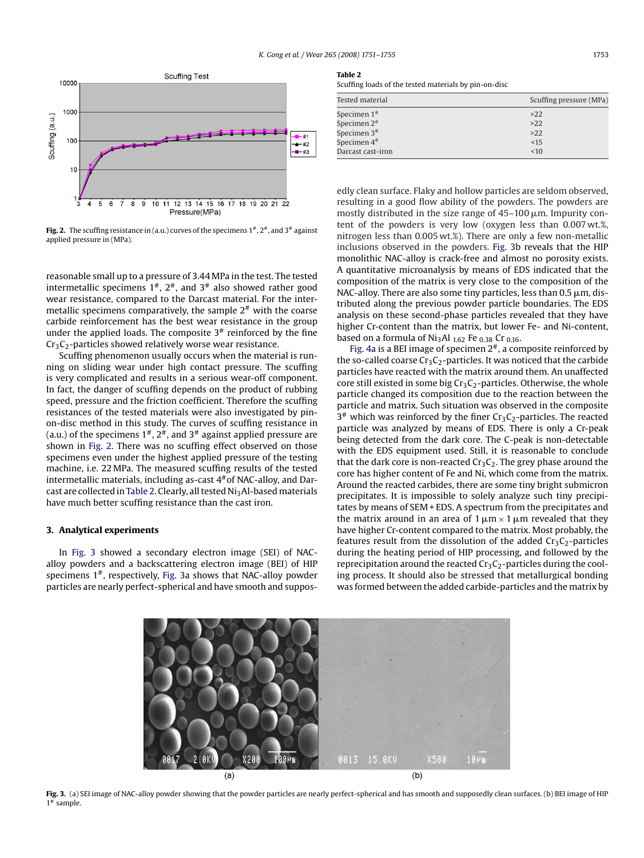

**Fig. 2.** The scuffing resistance in (a.u.) curves of the specimens  $1^{\#}$ ,  $2^{\#}$  and  $3^{\#}$  against applied pressure in (MPa).

reasonable small up to a pressure of 3.44 MPa in the test. The tested intermetallic specimens  $1^{\#}$ ,  $2^{\#}$ , and  $3^{\#}$  also showed rather good wear resistance, compared to the Darcast material. For the intermetallic specimens comparatively, the sample  $2^*$  with the coarse carbide reinforcement has the best wear resistance in the group under the applied loads. The composite  $3#$  reinforced by the fine

Scuffing phenomenon usually occurs when the material is running on sliding wear under high contact pressure. The scuffing is very complicated and results in a serious wear-off component. In fact, the danger of scuffing depends on the product of rubbing speed, pressure and the friction coefficient. Therefore the scuffing resistances of the tested materials were also investigated by pinon-disc method in this study. The curves of scuffing resistance in (a.u.) of the specimens  $1^{\#}$ ,  $2^{\#}$ , and  $3^{\#}$  against applied pressure are shown in Fig. 2. There was no scuffing effect observed on those specimens even under the highest applied pressure of the testing machine, i.e. 22 MPa. The measured scuffing results of the tested intermetallic materials, including as-cast  $4#$  of NAC-alloy, and Darcast are collected in Table 2. Clearly, all tested Ni<sub>3</sub>Al-based materials

 $Cr<sub>3</sub>C<sub>2</sub>$ -particles showed relatively worse wear resistance.

have much better scuffing resistance than the cast iron.

In Fig. 3 showed a secondary electron image (SEI) of NACalloy powders and a backscattering electron image (BEI) of HIP specimens  $1<sup>*</sup>$ , respectively, Fig. 3a shows that NAC-alloy powder particles are nearly perfect-spherical and have smooth and suppos-

**3. Analytical experiments**

## **Table 2**

Scuffing loads of the tested materials by pin-on-disc

| Tested material   | Scuffing pressure (MPa) |
|-------------------|-------------------------|
| Specimen $1*$     | $>22$                   |
| Specimen $2*$     | $>22$                   |
| Specimen $3*$     | $>22$                   |
| Specimen $4^{\#}$ | <15                     |
| Darcast cast-iron | <10                     |

edly clean surface. Flaky and hollow particles are seldom observed, resulting in a good flow ability of the powders. The powders are mostly distributed in the size range of  $45-100 \,\mu$ m. Impurity content of the powders is very low (oxygen less than 0.007 wt.%, nitrogen less than 0.005 wt.%). There are only a few non-metallic inclusions observed in the powders. Fig. 3b reveals that the HIP monolithic NAC-alloy is crack-free and almost no porosity exists. A quantitative microanalysis by means of EDS indicated that the composition of the matrix is very close to the composition of the NAC-alloy. There are also some tiny particles, less than 0.5  $\mu$ m, distributed along the previous powder particle boundaries. The EDS analysis on these second-phase particles revealed that they have higher Cr-content than the matrix, but lower Fe- and Ni-content, based on a formula of  $Ni<sub>3</sub>Al$   $_{1.62}$  Fe  $_{0.38}$  Cr  $_{0.16}$ .

[Fig. 4a](#page-3-0) is a BEI image of specimen  $2^*$ , a composite reinforced by the so-called coarse  $Cr_3C_2$ -particles. It was noticed that the carbide particles have reacted with the matrix around them. An unaffected core still existed in some big  $Cr_3C_2$ -particles. Otherwise, the whole particle changed its composition due to the reaction between the particle and matrix. Such situation was observed in the composite  $3^*$  which was reinforced by the finer Cr<sub>3</sub>C<sub>2</sub>-particles. The reacted particle was analyzed by means of EDS. There is only a Cr-peak being detected from the dark core. The C-peak is non-detectable with the EDS equipment used. Still, it is reasonable to conclude that the dark core is non-reacted  $Cr_3C_2$ . The grey phase around the core has higher content of Fe and Ni, which come from the matrix. Around the reacted carbides, there are some tiny bright submicron precipitates. It is impossible to solely analyze such tiny precipitates by means of SEM + EDS. A spectrum from the precipitates and the matrix around in an area of  $1\,\mu\mathrm{m} \times 1\,\mu\mathrm{m}$  revealed that they have higher Cr-content compared to the matrix. Most probably, the features result from the dissolution of the added  $Cr<sub>3</sub>C<sub>2</sub>$ -particles during the heating period of HIP processing, and followed by the reprecipitation around the reacted  $Cr<sub>3</sub>C<sub>2</sub>$ -particles during the cooling process. It should also be stressed that metallurgical bonding was formed between the added carbide-particles and the matrix by



**Fig. 3.** (a) SEI image of NAC-alloy powder showing that the powder particles are nearly perfect-spherical and has smooth and supposedly clean surfaces. (b) BEI image of HIP 1# sample.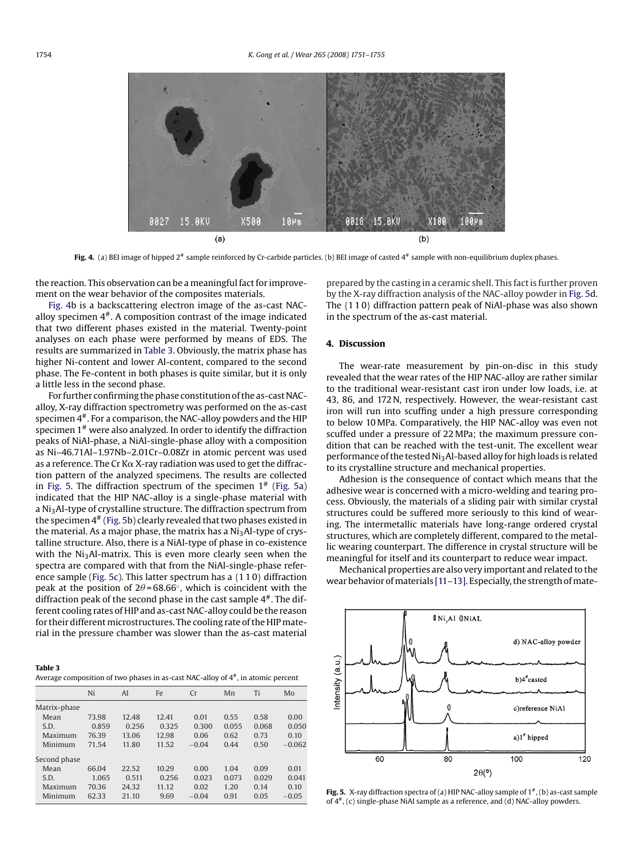<span id="page-3-0"></span>

Fig. 4. (a) BEI image of hipped 2<sup>#</sup> sample reinforced by Cr-carbide particles. (b) BEI image of casted 4<sup>#</sup> sample with non-equilibrium duplex phases.

the reaction. This observation can be a meaningful fact for improvement on the wear behavior of the composites materials.

Fig. 4b is a backscattering electron image of the as-cast NACalloy specimen  $4^*$ . A composition contrast of the image indicated that two different phases existed in the material. Twenty-point analyses on each phase were performed by means of EDS. The results are summarized in Table 3. Obviously, the matrix phase has higher Ni-content and lower Al-content, compared to the second phase. The Fe-content in both phases is quite similar, but it is only a little less in the second phase.

For further confirming the phase constitution of the as-cast NACalloy, X-ray diffraction spectrometry was performed on the as-cast specimen  $4^*$ . For a comparison, the NAC-alloy powders and the HIP specimen 1# were also analyzed. In order to identify the diffraction peaks of NiAl-phase, a NiAl-single-phase alloy with a composition as Ni–46.71Al–1.97Nb–2.01Cr–0.08Zr in atomic percent was used as a reference. The Cr K $\alpha$  X-ray radiation was used to get the diffraction pattern of the analyzed specimens. The results are collected in Fig. 5. The diffraction spectrum of the specimen  $1^*$  (Fig. 5a) indicated that the HIP NAC-alloy is a single-phase material with a Ni3Al-type of crystalline structure. The diffraction spectrum from the specimen  $4^{\#}$  (Fig. 5b) clearly revealed that two phases existed in the material. As a major phase, the matrix has a  $Ni<sub>3</sub>Al-type of crys$ talline structure. Also, there is a NiAl-type of phase in co-existence with the Ni<sub>3</sub>Al-matrix. This is even more clearly seen when the spectra are compared with that from the NiAl-single-phase reference sample (Fig. 5c). This latter spectrum has a {110} diffraction peak at the position of 2 $\theta$ =68.66°, which is coincident with the diffraction peak of the second phase in the cast sample  $4^{\#}$ . The different cooling rates of HIP and as-cast NAC-alloy could be the reason for their different microstructures. The cooling rate of the HIP material in the pressure chamber was slower than the as-cast material

| Table 3                                                                                |
|----------------------------------------------------------------------------------------|
| Average composition of two phases in as-cast NAC-alloy of $4^{\#}$ , in atomic percent |

|              | Ni    | Al    | Fe    | Cr      | Mn    | Ti    | Mo       |
|--------------|-------|-------|-------|---------|-------|-------|----------|
| Matrix-phase |       |       |       |         |       |       |          |
| Mean         | 73.98 | 12.48 | 12.41 | 0.01    | 0.55  | 0.58  | 0.00     |
| S.D.         | 0.859 | 0.256 | 0.325 | 0.300   | 0.055 | 0.068 | 0.050    |
| Maximum      | 76.39 | 13.06 | 12.98 | 0.06    | 0.62  | 0.73  | 0.10     |
| Minimum      | 71.54 | 11.80 | 11.52 | $-0.04$ | 0.44  | 0.50  | $-0.062$ |
| Second phase |       |       |       |         |       |       |          |
| Mean         | 66.04 | 22.52 | 10.29 | 0.00    | 1.04  | 0.09  | 0.01     |
| S.D.         | 1.065 | 0.511 | 0.256 | 0.023   | 0.073 | 0.029 | 0.041    |
| Maximum      | 70.36 | 24.32 | 11.12 | 0.02    | 1.20  | 0.14  | 0.10     |
| Minimum      | 62.33 | 21.10 | 9.69  | $-0.04$ | 0.91  | 0.05  | $-0.05$  |

prepared by the casting in a ceramic shell. This fact is further proven by the X-ray diffraction analysis of the NAC-alloy powder in Fig. 5d. The {110} diffraction pattern peak of NiAl-phase was also shown in the spectrum of the as-cast material.

#### **4. Discussion**

The wear-rate measurement by pin-on-disc in this study revealed that the wear rates of the HIP NAC-alloy are rather similar to the traditional wear-resistant cast iron under low loads, i.e. at 43, 86, and 172 N, respectively. However, the wear-resistant cast iron will run into scuffing under a high pressure corresponding to below 10 MPa. Comparatively, the HIP NAC-alloy was even not scuffed under a pressure of 22 MPa; the maximum pressure condition that can be reached with the test-unit. The excellent wear performance of the tested Ni<sub>3</sub>Al-based alloy for high loads is related to its crystalline structure and mechanical properties.

Adhesion is the consequence of contact which means that the adhesive wear is concerned with a micro-welding and tearing process. Obviously, the materials of a sliding pair with similar crystal structures could be suffered more seriously to this kind of wearing. The intermetallic materials have long-range ordered crystal structures, which are completely different, compared to the metallic wearing counterpart. The difference in crystal structure will be meaningful for itself and its counterpart to reduce wear impact.

Mechanical properties are also very important and related to the wear behavior of materials [11-13]. Especially, the strength of mate-



Fig. 5. X-ray diffraction spectra of (a) HIP NAC-alloy sample of 1<sup>#</sup>, (b) as-cast sample of 4#, (c) single-phase NiAl sample as a reference, and (d) NAC-alloy powders.